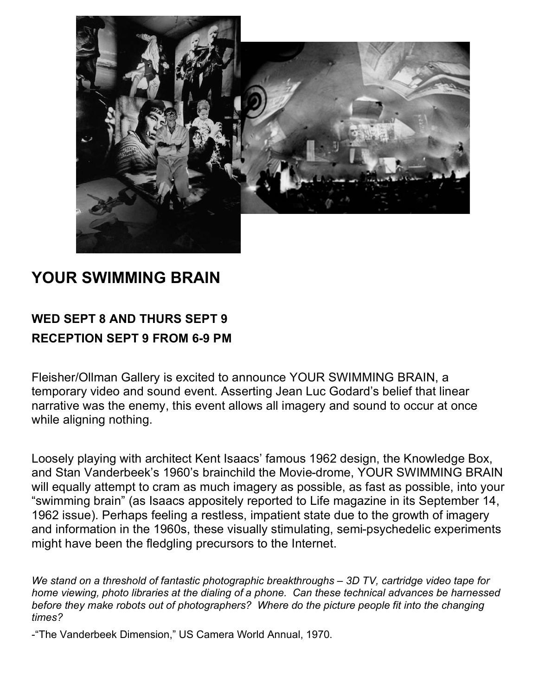

## **YOUR SWIMMING BRAIN**

## **WED SEPT 8 AND THURS SEPT 9 RECEPTION SEPT 9 FROM 6-9 PM**

Fleisher/Ollman Gallery is excited to announce YOUR SWIMMING BRAIN, a temporary video and sound event. Asserting Jean Luc Godard's belief that linear narrative was the enemy, this event allows all imagery and sound to occur at once while aligning nothing.

Loosely playing with architect Kent Isaacs' famous 1962 design, the Knowledge Box, and Stan Vanderbeek's 1960's brainchild the Movie-drome, YOUR SWIMMING BRAIN will equally attempt to cram as much imagery as possible, as fast as possible, into your "swimming brain" (as Isaacs appositely reported to Life magazine in its September 14, 1962 issue). Perhaps feeling a restless, impatient state due to the growth of imagery and information in the 1960s, these visually stimulating, semi-psychedelic experiments might have been the fledgling precursors to the Internet.

*We stand on a threshold of fantastic photographic breakthroughs – 3D TV, cartridge video tape for home viewing, photo libraries at the dialing of a phone. Can these technical advances be harnessed before they make robots out of photographers? Where do the picture people fit into the changing times?*

-"The Vanderbeek Dimension," US Camera World Annual, 1970.